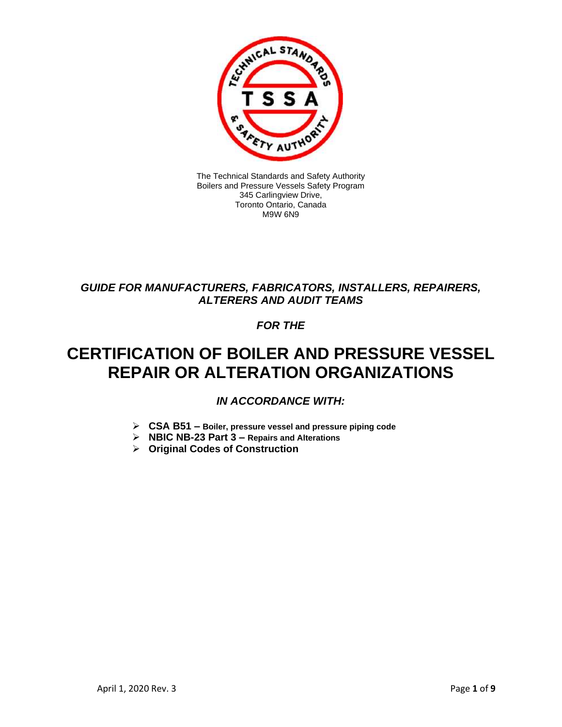

The Technical Standards and Safety Authority Boilers and Pressure Vessels Safety Program 345 Carlingview Drive, Toronto Ontario, Canada M9W 6N9

### *GUIDE FOR MANUFACTURERS, FABRICATORS, INSTALLERS, REPAIRERS, ALTERERS AND AUDIT TEAMS*

### *FOR THE*

# **CERTIFICATION OF BOILER AND PRESSURE VESSEL REPAIR OR ALTERATION ORGANIZATIONS**

### *IN ACCORDANCE WITH:*

- ➢ **CSA B51 – Boiler, pressure vessel and pressure piping code**
- ➢ **NBIC NB-23 Part 3 – Repairs and Alterations**
- ➢ **Original Codes of Construction**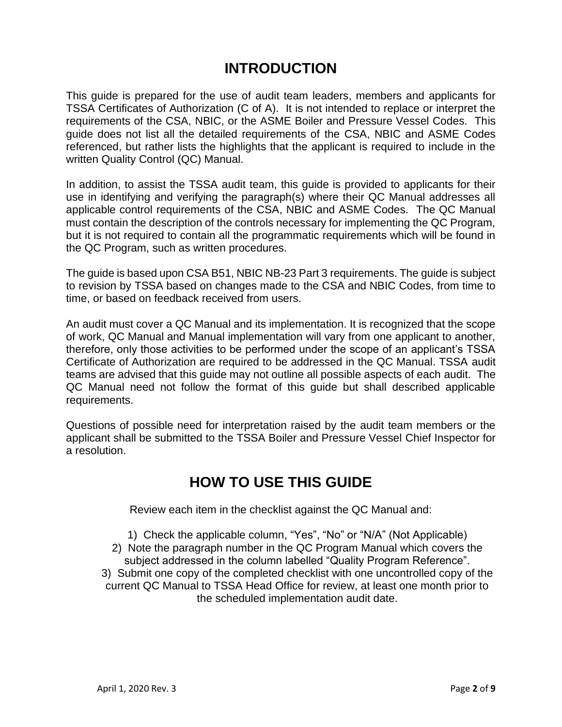## **INTRODUCTION**

This guide is prepared for the use of audit team leaders, members and applicants for TSSA Certificates of Authorization (C of A). It is not intended to replace or interpret the requirements of the CSA, NBIC, or the ASME Boiler and Pressure Vessel Codes. This guide does not list all the detailed requirements of the CSA, NBIC and ASME Codes referenced, but rather lists the highlights that the applicant is required to include in the written Quality Control (QC) Manual.

In addition, to assist the TSSA audit team, this guide is provided to applicants for their use in identifying and verifying the paragraph(s) where their QC Manual addresses all applicable control requirements of the CSA, NBIC and ASME Codes. The QC Manual must contain the description of the controls necessary for implementing the QC Program, but it is not required to contain all the programmatic requirements which will be found in the QC Program, such as written procedures.

The guide is based upon CSA B51, NBIC NB-23 Part 3 requirements. The guide is subject to revision by TSSA based on changes made to the CSA and NBIC Codes, from time to time, or based on feedback received from users.

An audit must cover a QC Manual and its implementation. It is recognized that the scope of work, QC Manual and Manual implementation will vary from one applicant to another, therefore, only those activities to be performed under the scope of an applicant's TSSA Certificate of Authorization are required to be addressed in the QC Manual. TSSA audit teams are advised that this guide may not outline all possible aspects of each audit. The QC Manual need not follow the format of this guide but shall described applicable requirements.

Questions of possible need for interpretation raised by the audit team members or the applicant shall be submitted to the TSSA Boiler and Pressure Vessel Chief Inspector for a resolution.

## **HOW TO USE THIS GUIDE**

Review each item in the checklist against the QC Manual and:

1) Check the applicable column, "Yes", "No" or "N/A" (Not Applicable) 2) Note the paragraph number in the QC Program Manual which covers the subject addressed in the column labelled "Quality Program Reference". 3) Submit one copy of the completed checklist with one uncontrolled copy of the current QC Manual to TSSA Head Office for review, at least one month prior to the scheduled implementation audit date.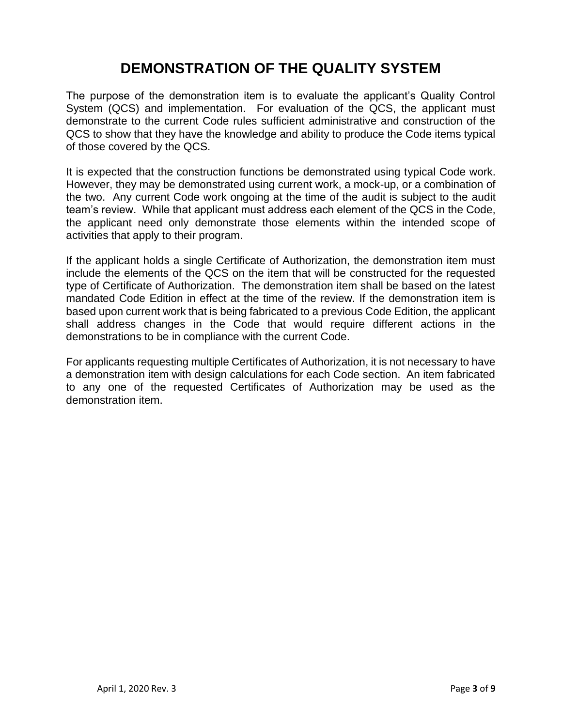## **DEMONSTRATION OF THE QUALITY SYSTEM**

The purpose of the demonstration item is to evaluate the applicant's Quality Control System (QCS) and implementation. For evaluation of the QCS, the applicant must demonstrate to the current Code rules sufficient administrative and construction of the QCS to show that they have the knowledge and ability to produce the Code items typical of those covered by the QCS.

It is expected that the construction functions be demonstrated using typical Code work. However, they may be demonstrated using current work, a mock-up, or a combination of the two. Any current Code work ongoing at the time of the audit is subject to the audit team's review. While that applicant must address each element of the QCS in the Code, the applicant need only demonstrate those elements within the intended scope of activities that apply to their program.

If the applicant holds a single Certificate of Authorization, the demonstration item must include the elements of the QCS on the item that will be constructed for the requested type of Certificate of Authorization. The demonstration item shall be based on the latest mandated Code Edition in effect at the time of the review. If the demonstration item is based upon current work that is being fabricated to a previous Code Edition, the applicant shall address changes in the Code that would require different actions in the demonstrations to be in compliance with the current Code.

For applicants requesting multiple Certificates of Authorization, it is not necessary to have a demonstration item with design calculations for each Code section. An item fabricated to any one of the requested Certificates of Authorization may be used as the demonstration item.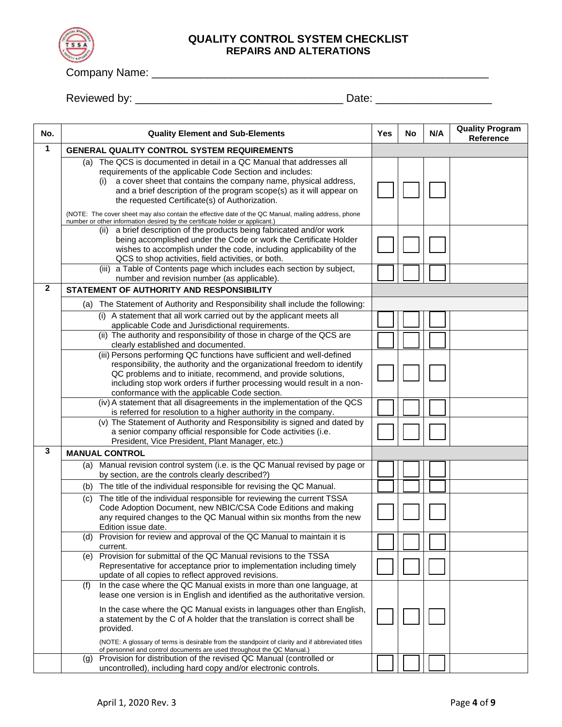

Company Name: \_\_\_\_\_\_\_\_\_\_\_\_\_\_\_\_\_\_\_\_\_\_\_\_\_\_\_\_\_\_\_\_\_\_\_\_\_\_\_\_\_\_\_\_\_\_\_\_\_\_\_\_\_\_\_

Reviewed by: \_\_\_\_\_\_\_\_\_\_\_\_\_\_\_\_\_\_\_\_\_\_\_\_\_\_\_\_\_\_\_\_\_\_ Date: \_\_\_\_\_\_\_\_\_\_\_\_\_\_\_\_\_\_\_

| No.          | <b>Quality Element and Sub-Elements</b>                                                                                                                                                                                                                                                                                                                                                                                                          | Yes | No | N/A | <b>Quality Program</b><br>Reference |
|--------------|--------------------------------------------------------------------------------------------------------------------------------------------------------------------------------------------------------------------------------------------------------------------------------------------------------------------------------------------------------------------------------------------------------------------------------------------------|-----|----|-----|-------------------------------------|
| 1            | <b>GENERAL QUALITY CONTROL SYSTEM REQUIREMENTS</b>                                                                                                                                                                                                                                                                                                                                                                                               |     |    |     |                                     |
|              | The QCS is documented in detail in a QC Manual that addresses all<br>(a)<br>requirements of the applicable Code Section and includes:<br>a cover sheet that contains the company name, physical address,<br>(1)<br>and a brief description of the program scope(s) as it will appear on<br>the requested Certificate(s) of Authorization.<br>(NOTE: The cover sheet may also contain the effective date of the QC Manual, mailing address, phone |     |    |     |                                     |
|              | number or other information desired by the certificate holder or applicant.)<br>a brief description of the products being fabricated and/or work<br>(ii)<br>being accomplished under the Code or work the Certificate Holder<br>wishes to accomplish under the code, including applicability of the<br>QCS to shop activities, field activities, or both.<br>(iii) a Table of Contents page which includes each section by subject,              |     |    |     |                                     |
|              | number and revision number (as applicable).                                                                                                                                                                                                                                                                                                                                                                                                      |     |    |     |                                     |
| $\mathbf{2}$ | STATEMENT OF AUTHORITY AND RESPONSIBILITY                                                                                                                                                                                                                                                                                                                                                                                                        |     |    |     |                                     |
|              | (a) The Statement of Authority and Responsibility shall include the following:                                                                                                                                                                                                                                                                                                                                                                   |     |    |     |                                     |
|              | (i) A statement that all work carried out by the applicant meets all<br>applicable Code and Jurisdictional requirements.                                                                                                                                                                                                                                                                                                                         |     |    |     |                                     |
|              | (ii) The authority and responsibility of those in charge of the QCS are<br>clearly established and documented.                                                                                                                                                                                                                                                                                                                                   |     |    |     |                                     |
|              | (iii) Persons performing QC functions have sufficient and well-defined<br>responsibility, the authority and the organizational freedom to identify<br>QC problems and to initiate, recommend, and provide solutions,<br>including stop work orders if further processing would result in a non-<br>conformance with the applicable Code section.                                                                                                 |     |    |     |                                     |
|              | (iv) A statement that all disagreements in the implementation of the QCS<br>is referred for resolution to a higher authority in the company.                                                                                                                                                                                                                                                                                                     |     |    |     |                                     |
|              | (v) The Statement of Authority and Responsibility is signed and dated by<br>a senior company official responsible for Code activities (i.e.<br>President, Vice President, Plant Manager, etc.)                                                                                                                                                                                                                                                   |     |    |     |                                     |
| 3            | <b>MANUAL CONTROL</b>                                                                                                                                                                                                                                                                                                                                                                                                                            |     |    |     |                                     |
|              | (a) Manual revision control system (i.e. is the QC Manual revised by page or<br>by section, are the controls clearly described?)                                                                                                                                                                                                                                                                                                                 |     |    |     |                                     |
|              | (b) The title of the individual responsible for revising the QC Manual.                                                                                                                                                                                                                                                                                                                                                                          |     |    |     |                                     |
|              | The title of the individual responsible for reviewing the current TSSA<br>(c)<br>Code Adoption Document, new NBIC/CSA Code Editions and making<br>any required changes to the QC Manual within six months from the new<br>Edition issue date.                                                                                                                                                                                                    |     |    |     |                                     |
|              | (d) Provision for review and approval of the QC Manual to maintain it is<br>current.                                                                                                                                                                                                                                                                                                                                                             |     |    |     |                                     |
|              | Provision for submittal of the QC Manual revisions to the TSSA<br>(e)<br>Representative for acceptance prior to implementation including timely<br>update of all copies to reflect approved revisions.                                                                                                                                                                                                                                           |     |    |     |                                     |
|              | In the case where the QC Manual exists in more than one language, at<br>(f)<br>lease one version is in English and identified as the authoritative version.                                                                                                                                                                                                                                                                                      |     |    |     |                                     |
|              | In the case where the QC Manual exists in languages other than English,<br>a statement by the C of A holder that the translation is correct shall be<br>provided.                                                                                                                                                                                                                                                                                |     |    |     |                                     |
|              | (NOTE: A glossary of terms is desirable from the standpoint of clarity and if abbreviated titles<br>of personnel and control documents are used throughout the QC Manual.)                                                                                                                                                                                                                                                                       |     |    |     |                                     |
|              | Provision for distribution of the revised QC Manual (controlled or<br>(g)<br>uncontrolled), including hard copy and/or electronic controls.                                                                                                                                                                                                                                                                                                      |     |    |     |                                     |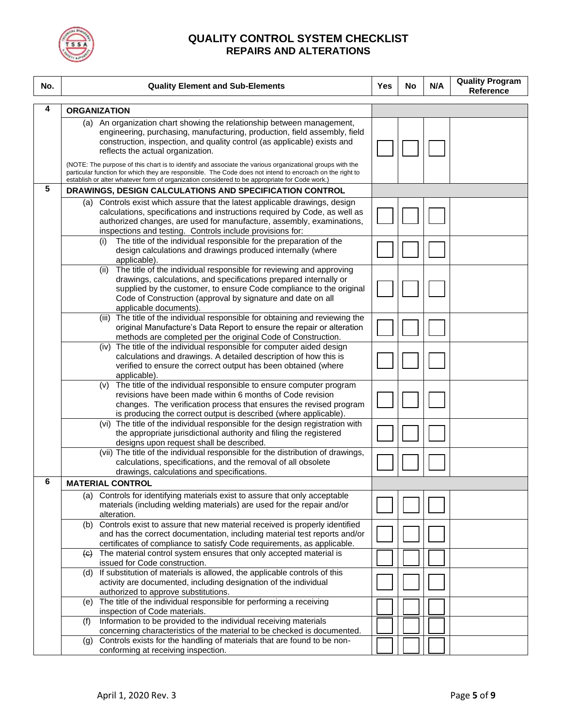

| No. | <b>Quality Element and Sub-Elements</b>                                                                                                                                                                                                                                                                                                                                                                                                                                                                                                                                                       | Yes | No | N/A | <b>Quality Program</b><br>Reference |
|-----|-----------------------------------------------------------------------------------------------------------------------------------------------------------------------------------------------------------------------------------------------------------------------------------------------------------------------------------------------------------------------------------------------------------------------------------------------------------------------------------------------------------------------------------------------------------------------------------------------|-----|----|-----|-------------------------------------|
| 4   | <b>ORGANIZATION</b>                                                                                                                                                                                                                                                                                                                                                                                                                                                                                                                                                                           |     |    |     |                                     |
|     | (a) An organization chart showing the relationship between management,<br>engineering, purchasing, manufacturing, production, field assembly, field<br>construction, inspection, and quality control (as applicable) exists and<br>reflects the actual organization.<br>(NOTE: The purpose of this chart is to identify and associate the various organizational groups with the<br>particular function for which they are responsible. The Code does not intend to encroach on the right to<br>establish or alter whatever form of organization considered to be appropriate for Code work.) |     |    |     |                                     |
| 5   | DRAWINGS, DESIGN CALCULATIONS AND SPECIFICATION CONTROL                                                                                                                                                                                                                                                                                                                                                                                                                                                                                                                                       |     |    |     |                                     |
|     | (a) Controls exist which assure that the latest applicable drawings, design<br>calculations, specifications and instructions required by Code, as well as<br>authorized changes, are used for manufacture, assembly, examinations,<br>inspections and testing. Controls include provisions for:                                                                                                                                                                                                                                                                                               |     |    |     |                                     |
|     | The title of the individual responsible for the preparation of the<br>(i)<br>design calculations and drawings produced internally (where<br>applicable).                                                                                                                                                                                                                                                                                                                                                                                                                                      |     |    |     |                                     |
|     | The title of the individual responsible for reviewing and approving<br>(ii)<br>drawings, calculations, and specifications prepared internally or<br>supplied by the customer, to ensure Code compliance to the original<br>Code of Construction (approval by signature and date on all<br>applicable documents).                                                                                                                                                                                                                                                                              |     |    |     |                                     |
|     | (iii) The title of the individual responsible for obtaining and reviewing the<br>original Manufacture's Data Report to ensure the repair or alteration<br>methods are completed per the original Code of Construction.                                                                                                                                                                                                                                                                                                                                                                        |     |    |     |                                     |
|     | (iv) The title of the individual responsible for computer aided design<br>calculations and drawings. A detailed description of how this is<br>verified to ensure the correct output has been obtained (where<br>applicable).                                                                                                                                                                                                                                                                                                                                                                  |     |    |     |                                     |
|     | (v) The title of the individual responsible to ensure computer program<br>revisions have been made within 6 months of Code revision<br>changes. The verification process that ensures the revised program<br>is producing the correct output is described (where applicable).                                                                                                                                                                                                                                                                                                                 |     |    |     |                                     |
|     | (vi) The title of the individual responsible for the design registration with<br>the appropriate jurisdictional authority and filing the registered<br>designs upon request shall be described.                                                                                                                                                                                                                                                                                                                                                                                               |     |    |     |                                     |
|     | (vii) The title of the individual responsible for the distribution of drawings,<br>calculations, specifications, and the removal of all obsolete<br>drawings, calculations and specifications.                                                                                                                                                                                                                                                                                                                                                                                                |     |    |     |                                     |
| 6   | <b>MATERIAL CONTROL</b>                                                                                                                                                                                                                                                                                                                                                                                                                                                                                                                                                                       |     |    |     |                                     |
|     | Controls for identifying materials exist to assure that only acceptable<br>(a)<br>materials (including welding materials) are used for the repair and/or<br>alteration.                                                                                                                                                                                                                                                                                                                                                                                                                       |     |    |     |                                     |
|     | Controls exist to assure that new material received is properly identified<br>(b)<br>and has the correct documentation, including material test reports and/or<br>certificates of compliance to satisfy Code requirements, as applicable.                                                                                                                                                                                                                                                                                                                                                     |     |    |     |                                     |
|     | The material control system ensures that only accepted material is<br>(G)<br>issued for Code construction.                                                                                                                                                                                                                                                                                                                                                                                                                                                                                    |     |    |     |                                     |
|     | If substitution of materials is allowed, the applicable controls of this<br>(d)<br>activity are documented, including designation of the individual<br>authorized to approve substitutions.                                                                                                                                                                                                                                                                                                                                                                                                   |     |    |     |                                     |
|     | The title of the individual responsible for performing a receiving<br>(e)<br>inspection of Code materials.                                                                                                                                                                                                                                                                                                                                                                                                                                                                                    |     |    |     |                                     |
|     | Information to be provided to the individual receiving materials<br>(f)<br>concerning characteristics of the material to be checked is documented.                                                                                                                                                                                                                                                                                                                                                                                                                                            |     |    |     |                                     |
|     | Controls exists for the handling of materials that are found to be non-<br>(q)<br>conforming at receiving inspection.                                                                                                                                                                                                                                                                                                                                                                                                                                                                         |     |    |     |                                     |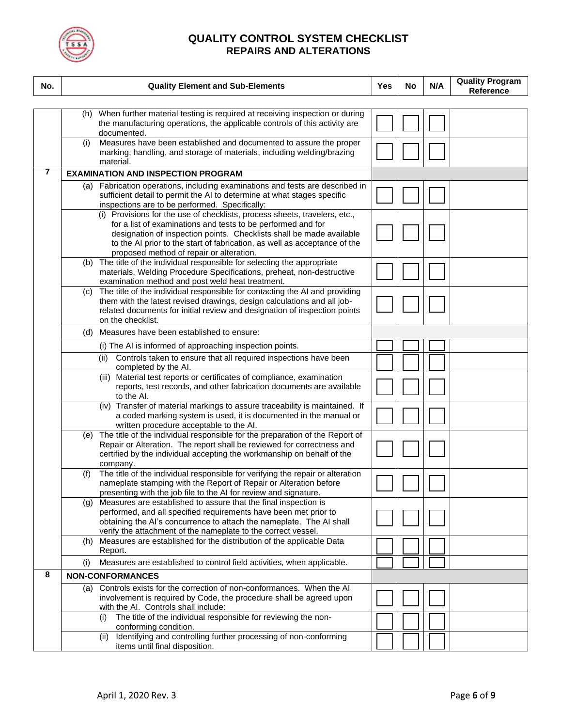

| No.                     | <b>Quality Element and Sub-Elements</b>                                                                                                                                                                                                                                                                                                     | Yes | No | N/A | <b>Quality Program</b><br><b>Reference</b> |
|-------------------------|---------------------------------------------------------------------------------------------------------------------------------------------------------------------------------------------------------------------------------------------------------------------------------------------------------------------------------------------|-----|----|-----|--------------------------------------------|
|                         |                                                                                                                                                                                                                                                                                                                                             |     |    |     |                                            |
|                         | When further material testing is required at receiving inspection or during<br>(h)<br>the manufacturing operations, the applicable controls of this activity are<br>documented.                                                                                                                                                             |     |    |     |                                            |
|                         | Measures have been established and documented to assure the proper<br>(i)<br>marking, handling, and storage of materials, including welding/brazing<br>material.                                                                                                                                                                            |     |    |     |                                            |
| $\overline{\mathbf{r}}$ | <b>EXAMINATION AND INSPECTION PROGRAM</b>                                                                                                                                                                                                                                                                                                   |     |    |     |                                            |
|                         | Fabrication operations, including examinations and tests are described in<br>(a)<br>sufficient detail to permit the AI to determine at what stages specific                                                                                                                                                                                 |     |    |     |                                            |
|                         | inspections are to be performed. Specifically:                                                                                                                                                                                                                                                                                              |     |    |     |                                            |
|                         | (i) Provisions for the use of checklists, process sheets, travelers, etc.,<br>for a list of examinations and tests to be performed and for<br>designation of inspection points. Checklists shall be made available<br>to the AI prior to the start of fabrication, as well as acceptance of the<br>proposed method of repair or alteration. |     |    |     |                                            |
|                         | The title of the individual responsible for selecting the appropriate<br>(b)<br>materials, Welding Procedure Specifications, preheat, non-destructive<br>examination method and post weld heat treatment.                                                                                                                                   |     |    |     |                                            |
|                         | (c) The title of the individual responsible for contacting the AI and providing<br>them with the latest revised drawings, design calculations and all job-<br>related documents for initial review and designation of inspection points<br>on the checklist.                                                                                |     |    |     |                                            |
|                         | Measures have been established to ensure:<br>(d)                                                                                                                                                                                                                                                                                            |     |    |     |                                            |
|                         | (i) The AI is informed of approaching inspection points.                                                                                                                                                                                                                                                                                    |     |    |     |                                            |
|                         | (ii) Controls taken to ensure that all required inspections have been<br>completed by the AI.                                                                                                                                                                                                                                               |     |    |     |                                            |
|                         | (iii) Material test reports or certificates of compliance, examination<br>reports, test records, and other fabrication documents are available<br>to the AI.                                                                                                                                                                                |     |    |     |                                            |
|                         | (iv) Transfer of material markings to assure traceability is maintained. If<br>a coded marking system is used, it is documented in the manual or<br>written procedure acceptable to the AI.                                                                                                                                                 |     |    |     |                                            |
|                         | (e) The title of the individual responsible for the preparation of the Report of<br>Repair or Alteration. The report shall be reviewed for correctness and<br>certified by the individual accepting the workmanship on behalf of the<br>company.                                                                                            |     |    |     |                                            |
|                         | The title of the individual responsible for verifying the repair or alteration<br>(f)<br>nameplate stamping with the Report of Repair or Alteration before<br>presenting with the job file to the AI for review and signature.                                                                                                              |     |    |     |                                            |
|                         | Measures are established to assure that the final inspection is<br>(g)<br>performed, and all specified requirements have been met prior to<br>obtaining the AI's concurrence to attach the nameplate. The AI shall<br>verify the attachment of the nameplate to the correct vessel.                                                         |     |    |     |                                            |
|                         | Measures are established for the distribution of the applicable Data<br>(h)<br>Report.                                                                                                                                                                                                                                                      |     |    |     |                                            |
|                         | Measures are established to control field activities, when applicable.<br>(i)                                                                                                                                                                                                                                                               |     |    |     |                                            |
| 8                       | <b>NON-CONFORMANCES</b>                                                                                                                                                                                                                                                                                                                     |     |    |     |                                            |
|                         | (a) Controls exists for the correction of non-conformances. When the AI<br>involvement is required by Code, the procedure shall be agreed upon<br>with the AI. Controls shall include:                                                                                                                                                      |     |    |     |                                            |
|                         | The title of the individual responsible for reviewing the non-<br>(i)<br>conforming condition.                                                                                                                                                                                                                                              |     |    |     |                                            |
|                         | Identifying and controlling further processing of non-conforming<br>(ii)<br>items until final disposition.                                                                                                                                                                                                                                  |     |    |     |                                            |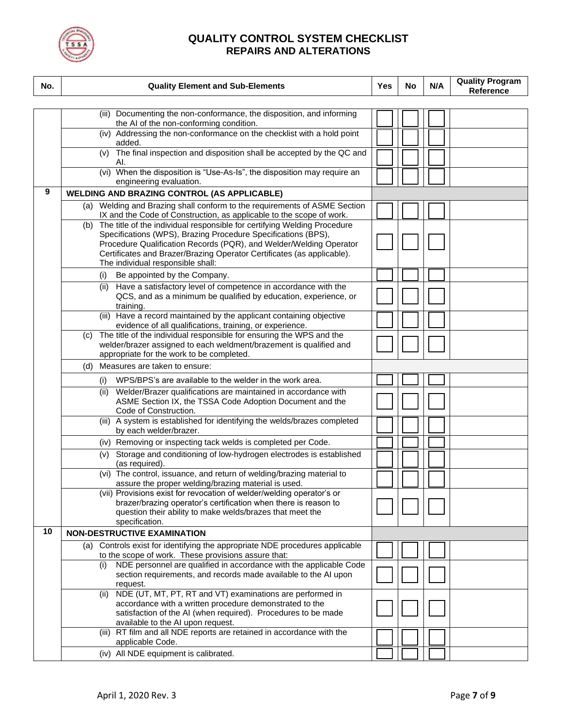

| No. | <b>Quality Element and Sub-Elements</b>                                                                                                           | Yes | No | N/A | <b>Quality Program</b><br><b>Reference</b> |
|-----|---------------------------------------------------------------------------------------------------------------------------------------------------|-----|----|-----|--------------------------------------------|
|     |                                                                                                                                                   |     |    |     |                                            |
|     | (iii) Documenting the non-conformance, the disposition, and informing<br>the AI of the non-conforming condition.                                  |     |    |     |                                            |
|     | (iv) Addressing the non-conformance on the checklist with a hold point<br>added.                                                                  |     |    |     |                                            |
|     | The final inspection and disposition shall be accepted by the QC and<br>(v)<br>AI.                                                                |     |    |     |                                            |
|     | (vi) When the disposition is "Use-As-Is", the disposition may require an<br>engineering evaluation.                                               |     |    |     |                                            |
| 9   | <b>WELDING AND BRAZING CONTROL (AS APPLICABLE)</b>                                                                                                |     |    |     |                                            |
|     | (a) Welding and Brazing shall conform to the requirements of ASME Section<br>IX and the Code of Construction, as applicable to the scope of work. |     |    |     |                                            |
|     | The title of the individual responsible for certifying Welding Procedure<br>(b)                                                                   |     |    |     |                                            |
|     | Specifications (WPS), Brazing Procedure Specifications (BPS),                                                                                     |     |    |     |                                            |
|     | Procedure Qualification Records (PQR), and Welder/Welding Operator<br>Certificates and Brazer/Brazing Operator Certificates (as applicable).      |     |    |     |                                            |
|     | The individual responsible shall:                                                                                                                 |     |    |     |                                            |
|     | Be appointed by the Company.<br>(i)                                                                                                               |     |    |     |                                            |
|     | (ii) Have a satisfactory level of competence in accordance with the                                                                               |     |    |     |                                            |
|     | QCS, and as a minimum be qualified by education, experience, or<br>training.                                                                      |     |    |     |                                            |
|     | (iii) Have a record maintained by the applicant containing objective<br>evidence of all qualifications, training, or experience.                  |     |    |     |                                            |
|     | The title of the individual responsible for ensuring the WPS and the<br>(C)                                                                       |     |    |     |                                            |
|     | welder/brazer assigned to each weldment/brazement is qualified and<br>appropriate for the work to be completed.                                   |     |    |     |                                            |
|     | (d) Measures are taken to ensure:                                                                                                                 |     |    |     |                                            |
|     | WPS/BPS's are available to the welder in the work area.<br>(i)                                                                                    |     |    |     |                                            |
|     | (ii) Welder/Brazer qualifications are maintained in accordance with                                                                               |     |    |     |                                            |
|     | ASME Section IX, the TSSA Code Adoption Document and the<br>Code of Construction.                                                                 |     |    |     |                                            |
|     | (iii) A system is established for identifying the welds/brazes completed<br>by each welder/brazer.                                                |     |    |     |                                            |
|     | (iv) Removing or inspecting tack welds is completed per Code.                                                                                     |     |    |     |                                            |
|     | (v) Storage and conditioning of low-hydrogen electrodes is established<br>(as required).                                                          |     |    |     |                                            |
|     | (vi) The control, issuance, and return of welding/brazing material to<br>assure the proper welding/brazing material is used.                      |     |    |     |                                            |
|     | (vii) Provisions exist for revocation of welder/welding operator's or                                                                             |     |    |     |                                            |
|     | brazer/brazing operator's certification when there is reason to<br>question their ability to make welds/brazes that meet the                      |     |    |     |                                            |
|     | specification.                                                                                                                                    |     |    |     |                                            |
| 10  | <b>NON-DESTRUCTIVE EXAMINATION</b>                                                                                                                |     |    |     |                                            |
|     | (a) Controls exist for identifying the appropriate NDE procedures applicable<br>to the scope of work. These provisions assure that:               |     |    |     |                                            |
|     | NDE personnel are qualified in accordance with the applicable Code<br>(i)                                                                         |     |    |     |                                            |
|     | section requirements, and records made available to the AI upon                                                                                   |     |    |     |                                            |
|     | request.<br>NDE (UT, MT, PT, RT and VT) examinations are performed in<br>(ii)                                                                     |     |    |     |                                            |
|     | accordance with a written procedure demonstrated to the                                                                                           |     |    |     |                                            |
|     | satisfaction of the AI (when required). Procedures to be made                                                                                     |     |    |     |                                            |
|     | available to the AI upon request.                                                                                                                 |     |    |     |                                            |
|     | (iii) RT film and all NDE reports are retained in accordance with the<br>applicable Code.                                                         |     |    |     |                                            |
|     | (iv) All NDE equipment is calibrated.                                                                                                             |     |    |     |                                            |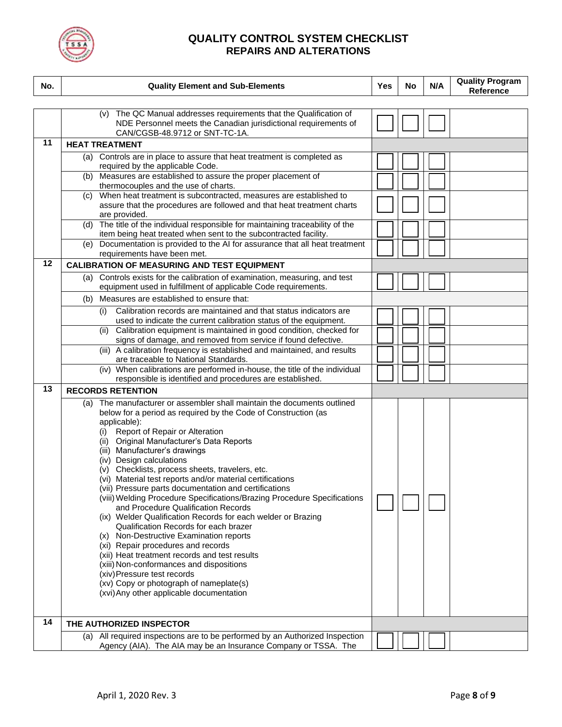

| No. | <b>Quality Element and Sub-Elements</b>                                                                                                                                                                                                                                                                                                                                                                                                                                                                                                                                                                                                                                                                                                                                                                                                                                                                                                                                                                               | <b>Yes</b> | No | N/A | <b>Quality Program</b><br>Reference |
|-----|-----------------------------------------------------------------------------------------------------------------------------------------------------------------------------------------------------------------------------------------------------------------------------------------------------------------------------------------------------------------------------------------------------------------------------------------------------------------------------------------------------------------------------------------------------------------------------------------------------------------------------------------------------------------------------------------------------------------------------------------------------------------------------------------------------------------------------------------------------------------------------------------------------------------------------------------------------------------------------------------------------------------------|------------|----|-----|-------------------------------------|
|     |                                                                                                                                                                                                                                                                                                                                                                                                                                                                                                                                                                                                                                                                                                                                                                                                                                                                                                                                                                                                                       |            |    |     |                                     |
|     | (v) The QC Manual addresses requirements that the Qualification of<br>NDE Personnel meets the Canadian jurisdictional requirements of<br>CAN/CGSB-48.9712 or SNT-TC-1A.                                                                                                                                                                                                                                                                                                                                                                                                                                                                                                                                                                                                                                                                                                                                                                                                                                               |            |    |     |                                     |
| 11  | <b>HEAT TREATMENT</b>                                                                                                                                                                                                                                                                                                                                                                                                                                                                                                                                                                                                                                                                                                                                                                                                                                                                                                                                                                                                 |            |    |     |                                     |
|     | (a) Controls are in place to assure that heat treatment is completed as<br>required by the applicable Code.                                                                                                                                                                                                                                                                                                                                                                                                                                                                                                                                                                                                                                                                                                                                                                                                                                                                                                           |            |    |     |                                     |
|     | (b) Measures are established to assure the proper placement of<br>thermocouples and the use of charts.                                                                                                                                                                                                                                                                                                                                                                                                                                                                                                                                                                                                                                                                                                                                                                                                                                                                                                                |            |    |     |                                     |
|     | When heat treatment is subcontracted, measures are established to<br>(c)<br>assure that the procedures are followed and that heat treatment charts<br>are provided.                                                                                                                                                                                                                                                                                                                                                                                                                                                                                                                                                                                                                                                                                                                                                                                                                                                   |            |    |     |                                     |
|     | (d) The title of the individual responsible for maintaining traceability of the<br>item being heat treated when sent to the subcontracted facility.                                                                                                                                                                                                                                                                                                                                                                                                                                                                                                                                                                                                                                                                                                                                                                                                                                                                   |            |    |     |                                     |
|     | Documentation is provided to the AI for assurance that all heat treatment<br>(e)<br>requirements have been met.                                                                                                                                                                                                                                                                                                                                                                                                                                                                                                                                                                                                                                                                                                                                                                                                                                                                                                       |            |    |     |                                     |
| 12  | <b>CALIBRATION OF MEASURING AND TEST EQUIPMENT</b>                                                                                                                                                                                                                                                                                                                                                                                                                                                                                                                                                                                                                                                                                                                                                                                                                                                                                                                                                                    |            |    |     |                                     |
|     | (a) Controls exists for the calibration of examination, measuring, and test<br>equipment used in fulfillment of applicable Code requirements.                                                                                                                                                                                                                                                                                                                                                                                                                                                                                                                                                                                                                                                                                                                                                                                                                                                                         |            |    |     |                                     |
|     | Measures are established to ensure that:<br>(b)                                                                                                                                                                                                                                                                                                                                                                                                                                                                                                                                                                                                                                                                                                                                                                                                                                                                                                                                                                       |            |    |     |                                     |
|     | Calibration records are maintained and that status indicators are<br>(i)<br>used to indicate the current calibration status of the equipment.                                                                                                                                                                                                                                                                                                                                                                                                                                                                                                                                                                                                                                                                                                                                                                                                                                                                         |            |    |     |                                     |
|     | (ii) Calibration equipment is maintained in good condition, checked for<br>signs of damage, and removed from service if found defective.                                                                                                                                                                                                                                                                                                                                                                                                                                                                                                                                                                                                                                                                                                                                                                                                                                                                              |            |    |     |                                     |
|     | (iii) A calibration frequency is established and maintained, and results<br>are traceable to National Standards.                                                                                                                                                                                                                                                                                                                                                                                                                                                                                                                                                                                                                                                                                                                                                                                                                                                                                                      |            |    |     |                                     |
|     | When calibrations are performed in-house, the title of the individual<br>(iv)<br>responsible is identified and procedures are established.                                                                                                                                                                                                                                                                                                                                                                                                                                                                                                                                                                                                                                                                                                                                                                                                                                                                            |            |    |     |                                     |
| 13  | <b>RECORDS RETENTION</b>                                                                                                                                                                                                                                                                                                                                                                                                                                                                                                                                                                                                                                                                                                                                                                                                                                                                                                                                                                                              |            |    |     |                                     |
|     | (a) The manufacturer or assembler shall maintain the documents outlined<br>below for a period as required by the Code of Construction (as<br>applicable):<br>Report of Repair or Alteration<br>(i)<br>(ii) Original Manufacturer's Data Reports<br>(iii) Manufacturer's drawings<br>(iv) Design calculations<br>(v) Checklists, process sheets, travelers, etc.<br>(vi) Material test reports and/or material certifications<br>(vii) Pressure parts documentation and certifications<br>(viii) Welding Procedure Specifications/Brazing Procedure Specifications<br>and Procedure Qualification Records<br>(ix) Welder Qualification Records for each welder or Brazing<br>Qualification Records for each brazer<br>(x) Non-Destructive Examination reports<br>(xi) Repair procedures and records<br>(xii) Heat treatment records and test results<br>(xiii) Non-conformances and dispositions<br>(xiv) Pressure test records<br>(xv) Copy or photograph of nameplate(s)<br>(xvi) Any other applicable documentation |            |    |     |                                     |
| 14  | THE AUTHORIZED INSPECTOR                                                                                                                                                                                                                                                                                                                                                                                                                                                                                                                                                                                                                                                                                                                                                                                                                                                                                                                                                                                              |            |    |     |                                     |
|     | (a) All required inspections are to be performed by an Authorized Inspection<br>Agency (AIA). The AIA may be an Insurance Company or TSSA. The                                                                                                                                                                                                                                                                                                                                                                                                                                                                                                                                                                                                                                                                                                                                                                                                                                                                        |            |    |     |                                     |